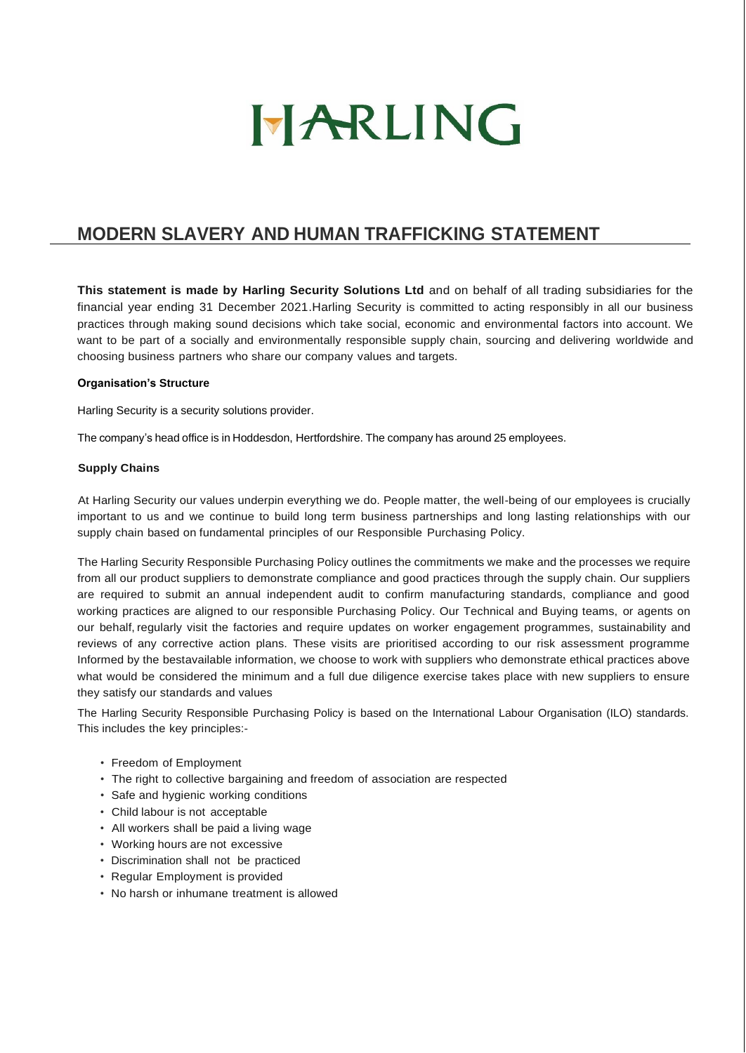

# **MODERN SLAVERY AND HUMAN TRAFFICKING STATEMENT**

**This statement is made by Harling Security Solutions Ltd** and on behalf of all trading subsidiaries for the financial year ending 31 December 2021.Harling Security is committed to acting responsibly in all our business practices through making sound decisions which take social, economic and environmental factors into account. We want to be part of a socially and environmentally responsible supply chain, sourcing and delivering worldwide and choosing business partners who share our company values and targets.

## **Organisation's Structure**

Harling Security is a security solutions provider.

The company's head office is in Hoddesdon, Hertfordshire. The company has around 25 employees.

### **Supply Chains**

At Harling Security our values underpin everything we do. People matter, the well-being of our employees is crucially important to us and we continue to build long term business partnerships and long lasting relationships with our supply chain based on fundamental principles of our Responsible Purchasing Policy.

The Harling Security Responsible Purchasing Policy outlines the commitments we make and the processes we require from all our product suppliers to demonstrate compliance and good practices through the supply chain. Our suppliers are required to submit an annual independent audit to confirm manufacturing standards, compliance and good working practices are aligned to our responsible Purchasing Policy. Our Technical and Buying teams, or agents on our behalf, regularly visit the factories and require updates on worker engagement programmes, sustainability and reviews of any corrective action plans. These visits are prioritised according to our risk assessment programme Informed by the bestavailable information, we choose to work with suppliers who demonstrate ethical practices above what would be considered the minimum and a full due diligence exercise takes place with new suppliers to ensure they satisfy our standards and values

The Harling Security Responsible Purchasing Policy is based on the International Labour Organisation (ILO) standards. This includes the key principles:-

- Freedom of Employment
- The right to collective bargaining and freedom of association are respected
- Safe and hygienic working conditions
- Child labour is not acceptable
- All workers shall be paid a living wage
- Working hours are not excessive
- Discrimination shall not be practiced
- Regular Employment is provided
- No harsh or inhumane treatment is allowed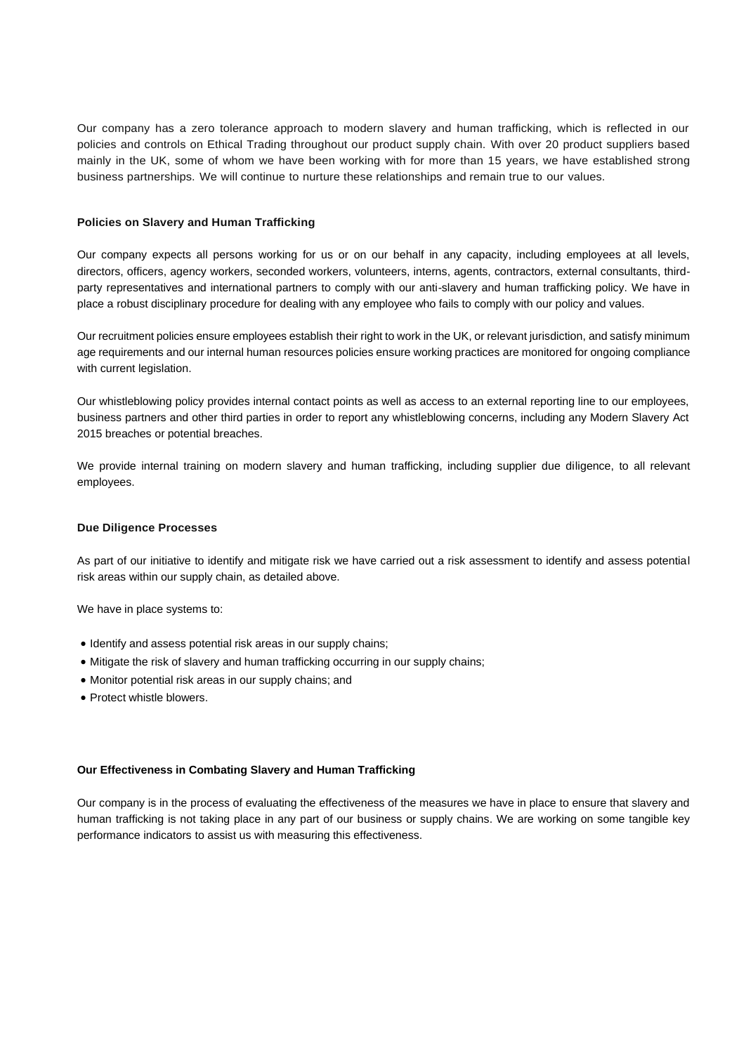Our company has a zero tolerance approach to modern slavery and human trafficking, which is reflected in our policies and controls on Ethical Trading throughout our product supply chain. With over 20 product suppliers based mainly in the UK, some of whom we have been working with for more than 15 years, we have established strong business partnerships. We will continue to nurture these relationships and remain true to our values.

### **Policies on Slavery and Human Trafficking**

Our company expects all persons working for us or on our behalf in any capacity, including employees at all levels, directors, officers, agency workers, seconded workers, volunteers, interns, agents, contractors, external consultants, thirdparty representatives and international partners to comply with our anti-slavery and human trafficking policy. We have in place a robust disciplinary procedure for dealing with any employee who fails to comply with our policy and values.

Our recruitment policies ensure employees establish their right to work in the UK, or relevant jurisdiction, and satisfy minimum age requirements and our internal human resources policies ensure working practices are monitored for ongoing compliance with current legislation.

Our whistleblowing policy provides internal contact points as well as access to an external reporting line to our employees, business partners and other third parties in order to report any whistleblowing concerns, including any Modern Slavery Act 2015 breaches or potential breaches.

We provide internal training on modern slavery and human trafficking, including supplier due diligence, to all relevant employees.

#### **Due Diligence Processes**

As part of our initiative to identify and mitigate risk we have carried out a risk assessment to identify and assess potential risk areas within our supply chain, as detailed above.

We have in place systems to:

- Identify and assess potential risk areas in our supply chains;
- Mitigate the risk of slavery and human trafficking occurring in our supply chains;
- Monitor potential risk areas in our supply chains; and
- Protect whistle blowers.

#### **Our Effectiveness in Combating Slavery and Human Trafficking**

Our company is in the process of evaluating the effectiveness of the measures we have in place to ensure that slavery and human trafficking is not taking place in any part of our business or supply chains. We are working on some tangible key performance indicators to assist us with measuring this effectiveness.